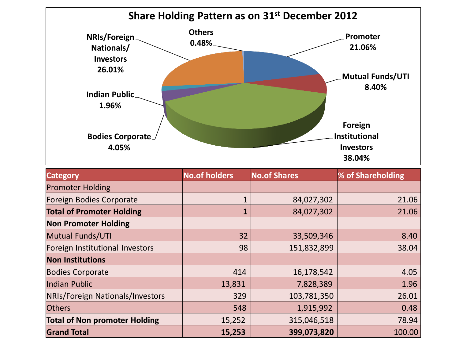

| <b>Category</b>                      | <b>No.of holders</b> | <b>No.of Shares</b> | % of Shareholding |
|--------------------------------------|----------------------|---------------------|-------------------|
| <b>Promoter Holding</b>              |                      |                     |                   |
| Foreign Bodies Corporate             | $\mathbf{1}$         | 84,027,302          | 21.06             |
| <b>Total of Promoter Holding</b>     | $\mathbf{1}$         | 84,027,302          | 21.06             |
| <b>Non Promoter Holding</b>          |                      |                     |                   |
| <b>Mutual Funds/UTI</b>              | 32                   | 33,509,346          | 8.40              |
| Foreign Institutional Investors      | 98                   | 151,832,899         | 38.04             |
| <b>Non Institutions</b>              |                      |                     |                   |
| <b>Bodies Corporate</b>              | 414                  | 16,178,542          | 4.05              |
| Indian Public                        | 13,831               | 7,828,389           | 1.96              |
| NRIs/Foreign Nationals/Investors     | 329                  | 103,781,350         | 26.01             |
| <b>Others</b>                        | 548                  | 1,915,992           | 0.48              |
| <b>Total of Non promoter Holding</b> | 15,252               | 315,046,518         | 78.94             |
| <b>Grand Total</b>                   | 15,253               | 399,073,820         | 100.00            |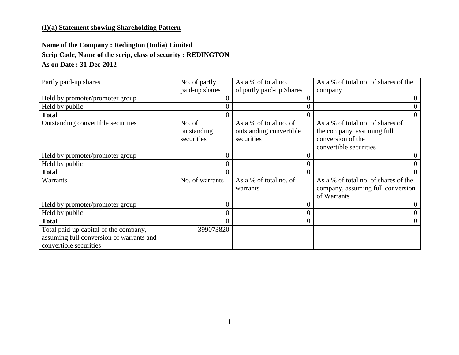### **(I)(a) Statement showing Shareholding Pattern**

## **Name of the Company : Redington (India) Limited Scrip Code, Name of the scrip, class of security : REDINGTON As on Date : 31-Dec-2012**

| Partly paid-up shares                                                                                       | No. of partly                       | As a % of total no.                                             | As a % of total no. of shares of the                                                                          |
|-------------------------------------------------------------------------------------------------------------|-------------------------------------|-----------------------------------------------------------------|---------------------------------------------------------------------------------------------------------------|
|                                                                                                             | paid-up shares                      | of partly paid-up Shares                                        | company                                                                                                       |
| Held by promoter/promoter group                                                                             |                                     |                                                                 |                                                                                                               |
| Held by public                                                                                              |                                     |                                                                 |                                                                                                               |
| <b>Total</b>                                                                                                |                                     |                                                                 | $\overline{0}$                                                                                                |
| Outstanding convertible securities                                                                          | No. of<br>outstanding<br>securities | As a % of total no. of<br>outstanding convertible<br>securities | As a % of total no. of shares of<br>the company, assuming full<br>conversion of the<br>convertible securities |
| Held by promoter/promoter group                                                                             |                                     |                                                                 | 0                                                                                                             |
| Held by public                                                                                              |                                     |                                                                 |                                                                                                               |
| <b>Total</b>                                                                                                |                                     |                                                                 |                                                                                                               |
| Warrants                                                                                                    | No. of warrants                     | As a % of total no. of<br>warrants                              | As a % of total no. of shares of the<br>company, assuming full conversion<br>of Warrants                      |
| Held by promoter/promoter group                                                                             |                                     |                                                                 |                                                                                                               |
| Held by public                                                                                              |                                     |                                                                 |                                                                                                               |
| <b>Total</b>                                                                                                |                                     |                                                                 | 0                                                                                                             |
| Total paid-up capital of the company,<br>assuming full conversion of warrants and<br>convertible securities | 399073820                           |                                                                 |                                                                                                               |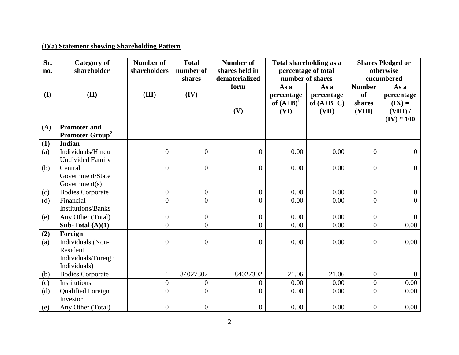# **(I)(a) Statement showing Shareholding Pattern**

| Sr.<br>no. | <b>Category of</b><br>shareholder                                    | <b>Number of</b><br>shareholders | <b>Total</b><br>number of<br>shares | <b>Number of</b><br>shares held in<br>dematerialized | Total shareholding as a<br>percentage of total<br>number of shares |                                             | <b>Shares Pledged or</b><br>otherwise<br>encumbered |                                                            |
|------------|----------------------------------------------------------------------|----------------------------------|-------------------------------------|------------------------------------------------------|--------------------------------------------------------------------|---------------------------------------------|-----------------------------------------------------|------------------------------------------------------------|
| (I)        | (II)                                                                 | (III)                            | (IV)                                | form<br>(V)                                          | As a<br>percentage<br>of $(A+B)^1$<br>(VI)                         | As a<br>percentage<br>of $(A+B+C)$<br>(VII) | <b>Number</b><br><b>of</b><br>shares<br>(VIII)      | As a<br>percentage<br>$(IX) =$<br>(VIII) /<br>$(IV) * 100$ |
| (A)        | <b>Promoter and</b><br><b>Promoter Group<sup>2</sup></b>             |                                  |                                     |                                                      |                                                                    |                                             |                                                     |                                                            |
| (1)        | <b>Indian</b>                                                        |                                  |                                     |                                                      |                                                                    |                                             |                                                     |                                                            |
| (a)        | Individuals/Hindu<br><b>Undivided Family</b>                         | $\overline{0}$                   | $\overline{0}$                      | $\overline{0}$                                       | 0.00                                                               | 0.00                                        | $\overline{0}$                                      | $\overline{0}$                                             |
| (b)        | Central<br>Government/State<br>Government(s)                         | $\overline{0}$                   | $\theta$                            | $\overline{0}$                                       | 0.00                                                               | 0.00                                        | $\overline{0}$                                      | $\overline{0}$                                             |
| (c)        | <b>Bodies Corporate</b>                                              | $\overline{0}$                   | $\overline{0}$                      | $\overline{0}$                                       | 0.00                                                               | 0.00                                        | $\overline{0}$                                      | $\overline{0}$                                             |
| (d)        | Financial<br><b>Institutions/Banks</b>                               | $\overline{0}$                   | $\theta$                            | $\overline{0}$                                       | 0.00                                                               | 0.00                                        | $\overline{0}$                                      | $\theta$                                                   |
| (e)        | Any Other (Total)                                                    | $\overline{0}$                   | $\overline{0}$                      | $\mathbf{0}$                                         | 0.00                                                               | 0.00                                        | $\overline{0}$                                      | $\overline{0}$                                             |
|            | Sub-Total $(A)(1)$                                                   | $\overline{0}$                   | $\overline{0}$                      | $\overline{0}$                                       | 0.00                                                               | 0.00                                        | $\overline{0}$                                      | 0.00                                                       |
| (2)        | Foreign                                                              |                                  |                                     |                                                      |                                                                    |                                             |                                                     |                                                            |
| (a)        | Individuals (Non-<br>Resident<br>Individuals/Foreign<br>Individuals) | $\overline{0}$                   | $\theta$                            | $\overline{0}$                                       | 0.00                                                               | 0.00                                        | $\theta$                                            | 0.00                                                       |
| (b)        | <b>Bodies Corporate</b>                                              | $\mathbf{1}$                     | 84027302                            | 84027302                                             | 21.06                                                              | 21.06                                       | $\overline{0}$                                      | $\overline{0}$                                             |
| (c)        | Institutions                                                         | $\overline{0}$                   | $\overline{0}$                      | $\overline{0}$                                       | 0.00                                                               | 0.00                                        | $\overline{0}$                                      | 0.00                                                       |
| (d)        | <b>Qualified Foreign</b><br>Investor                                 | $\overline{0}$                   | $\theta$                            | $\Omega$                                             | 0.00                                                               | 0.00                                        | $\Omega$                                            | 0.00                                                       |
| (e)        | Any Other (Total)                                                    | $\overline{0}$                   | $\boldsymbol{0}$                    | $\overline{0}$                                       | 0.00                                                               | 0.00                                        | $\boldsymbol{0}$                                    | 0.00                                                       |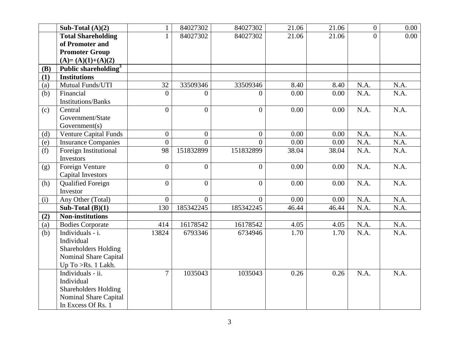|            | Sub-Total $(A)(2)$               | $\mathbf{1}$   | 84027302       | 84027302       | 21.06 | 21.06 | $\overline{0}$ | 0.00 |
|------------|----------------------------------|----------------|----------------|----------------|-------|-------|----------------|------|
|            |                                  |                |                |                |       |       |                |      |
|            | <b>Total Shareholding</b>        | 1              | 84027302       | 84027302       | 21.06 | 21.06 | $\Omega$       | 0.00 |
|            | of Promoter and                  |                |                |                |       |       |                |      |
|            | <b>Promoter Group</b>            |                |                |                |       |       |                |      |
|            | $(A)=(A)(1)+(A)(2)$              |                |                |                |       |       |                |      |
| <b>(B)</b> | Public shareholding <sup>3</sup> |                |                |                |       |       |                |      |
| (1)        | <b>Institutions</b>              |                |                |                |       |       |                |      |
| (a)        | Mutual Funds/UTI                 | 32             | 33509346       | 33509346       | 8.40  | 8.40  | N.A.           | N.A. |
| (b)        | Financial                        | $\overline{0}$ | 0              | $\Omega$       | 0.00  | 0.00  | N.A.           | N.A. |
|            | <b>Institutions/Banks</b>        |                |                |                |       |       |                |      |
| (c)        | Central                          | $\theta$       | $\theta$       | $\Omega$       | 0.00  | 0.00  | N.A.           | N.A. |
|            | Government/State                 |                |                |                |       |       |                |      |
|            | Government(s)                    |                |                |                |       |       |                |      |
| (d)        | <b>Venture Capital Funds</b>     | $\overline{0}$ | $\overline{0}$ | $\theta$       | 0.00  | 0.00  | N.A.           | N.A. |
| (e)        | <b>Insurance Companies</b>       | $\overline{0}$ | $\Omega$       | $\Omega$       | 0.00  | 0.00  | N.A.           | N.A. |
| (f)        | Foreign Institutional            | 98             | 151832899      | 151832899      | 38.04 | 38.04 | N.A.           | N.A. |
|            | Investors                        |                |                |                |       |       |                |      |
| (g)        | Foreign Venture                  | $\overline{0}$ | $\overline{0}$ | $\theta$       | 0.00  | 0.00  | N.A.           | N.A. |
|            | <b>Capital Investors</b>         |                |                |                |       |       |                |      |
| (h)        | <b>Qualified Foreign</b>         | $\overline{0}$ | $\theta$       | $\Omega$       | 0.00  | 0.00  | N.A.           | N.A. |
|            | Investor                         |                |                |                |       |       |                |      |
| (i)        | Any Other (Total)                | $\overline{0}$ | $\overline{0}$ | $\overline{0}$ | 0.00  | 0.00  | N.A.           | N.A. |
|            | Sub-Total $(B)(1)$               | 130            | 185342245      | 185342245      | 46.44 | 46.44 | N.A.           | N.A. |
| (2)        | <b>Non-institutions</b>          |                |                |                |       |       |                |      |
| (a)        | <b>Bodies Corporate</b>          | 414            | 16178542       | 16178542       | 4.05  | 4.05  | N.A.           | N.A. |
| (b)        | Individuals - i.                 | 13824          | 6793346        | 6734946        | 1.70  | 1.70  | N.A.           | N.A. |
|            | Individual                       |                |                |                |       |       |                |      |
|            | <b>Shareholders Holding</b>      |                |                |                |       |       |                |      |
|            | Nominal Share Capital            |                |                |                |       |       |                |      |
|            | Up To >Rs. 1 Lakh.               |                |                |                |       |       |                |      |
|            | Individuals - ii.                | $\overline{7}$ | 1035043        | 1035043        | 0.26  | 0.26  | N.A.           | N.A. |
|            | Individual                       |                |                |                |       |       |                |      |
|            | <b>Shareholders Holding</b>      |                |                |                |       |       |                |      |
|            | Nominal Share Capital            |                |                |                |       |       |                |      |
|            | In Excess Of Rs. 1               |                |                |                |       |       |                |      |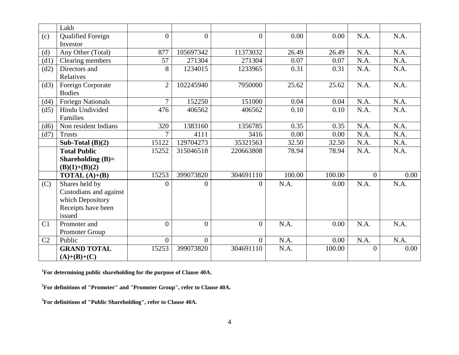|                | Lakh                     |                |                |                |        |        |                |      |
|----------------|--------------------------|----------------|----------------|----------------|--------|--------|----------------|------|
| (c)            | <b>Qualified Foreign</b> | $\overline{0}$ | $\overline{0}$ | $\overline{0}$ | 0.00   | 0.00   | N.A.           | N.A. |
|                | Investor                 |                |                |                |        |        |                |      |
| (d)            | Any Other (Total)        | 877            | 105697342      | 11373032       | 26.49  | 26.49  | N.A.           | N.A. |
| (d1)           | Clearing members         | 57             | 271304         | 271304         | 0.07   | 0.07   | N.A.           | N.A. |
| (d2)           | Directors and            | 8              | 1234015        | 1233965        | 0.31   | 0.31   | N.A.           | N.A. |
|                | Relatives                |                |                |                |        |        |                |      |
| (d3)           | Foreign Corporate        | $\overline{2}$ | 102245940      | 7950000        | 25.62  | 25.62  | N.A.           | N.A. |
|                | <b>Bodies</b>            |                |                |                |        |        |                |      |
| (d4)           | <b>Foriegn Nationals</b> | $\overline{7}$ | 152250         | 151000         | 0.04   | 0.04   | N.A.           | N.A. |
| (d5)           | Hindu Undivided          | 476            | 406562         | 406562         | 0.10   | 0.10   | N.A.           | N.A. |
|                | Families                 |                |                |                |        |        |                |      |
| (d6)           | Non resident Indians     | 320            | 1383160        | 1356785        | 0.35   | 0.35   | N.A.           | N.A. |
| (d7)           | <b>Trusts</b>            | $\overline{7}$ | 4111           | 3416           | 0.00   | 0.00   | N.A.           | N.A. |
|                | Sub-Total $(B)(2)$       | 15122          | 129704273      | 35321563       | 32.50  | 32.50  | N.A.           | N.A. |
|                | <b>Total Public</b>      | 15252          | 315046518      | 220663808      | 78.94  | 78.94  | N.A.           | N.A. |
|                | Shareholding $(B)=$      |                |                |                |        |        |                |      |
|                | $(B)(1)+(B)(2)$          |                |                |                |        |        |                |      |
|                | <b>TOTAL</b> $(A)+(B)$   | 15253          | 399073820      | 304691110      | 100.00 | 100.00 | $\overline{0}$ | 0.00 |
| (C)            | Shares held by           | $\theta$       | 0              | $\Omega$       | N.A.   | 0.00   | N.A.           | N.A. |
|                | Custodians and against   |                |                |                |        |        |                |      |
|                | which Depository         |                |                |                |        |        |                |      |
|                | Receipts have been       |                |                |                |        |        |                |      |
|                | issued                   |                |                |                |        |        |                |      |
| C1             | Promoter and             | $\overline{0}$ | $\overline{0}$ | $\overline{0}$ | N.A.   | 0.00   | N.A.           | N.A. |
|                | Promoter Group           |                |                |                |        |        |                |      |
| C <sub>2</sub> | Public                   | $\overline{0}$ | $\theta$       | $\overline{0}$ | N.A.   | 0.00   | N.A.           | N.A. |
|                | <b>GRAND TOTAL</b>       | 15253          | 399073820      | 304691110      | N.A.   | 100.00 | $\Omega$       | 0.00 |
|                | $(A)+(B)+(C)$            |                |                |                |        |        |                |      |

**<sup>1</sup>For determining public shareholding for the purpose of Clause 40A.**

**<sup>2</sup>For definitions of "Promoter" and "Promoter Group", refer to Clause 40A.**

**<sup>3</sup>For definitions of "Public Shareholding", refer to Clause 40A.**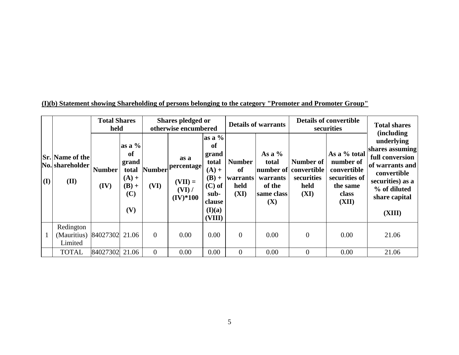|     |                                                   | <b>Total Shares</b><br>held |                                                                      | Shares pledged or<br>otherwise encumbered |                                                           |                                                                                                           | <b>Details of warrants</b>                      |                                                              | <b>Details of convertible</b><br>securities                      |                                                                                         | <b>Total shares</b>                                                                                                                                                     |
|-----|---------------------------------------------------|-----------------------------|----------------------------------------------------------------------|-------------------------------------------|-----------------------------------------------------------|-----------------------------------------------------------------------------------------------------------|-------------------------------------------------|--------------------------------------------------------------|------------------------------------------------------------------|-----------------------------------------------------------------------------------------|-------------------------------------------------------------------------------------------------------------------------------------------------------------------------|
| (I) | <b>Sr.</b> Name of the<br>No. shareholder<br>(II) | <b>Number</b><br>(IV)       | as a $%$<br>of<br>grand<br>total<br>$(A) +$<br>$(B) +$<br>(C)<br>(V) | <b>Number</b><br>(VI)                     | as a<br>percentage<br>$(VII) =$<br>$(VI)$ /<br>$(IV)*100$ | as a $\%$<br>of<br>grand<br>total<br>$(A) +$<br>$(B) +$<br>$(C)$ of<br>sub-<br>clause<br>(I)(a)<br>(VIII) | <b>Number</b><br>of<br>warrants<br>held<br>(XI) | As a $%$<br>total<br>warrants<br>of the<br>same class<br>(X) | Number of<br>number of convertible<br>securities<br>held<br>(XI) | As a % total<br>number of<br>convertible<br>securities of<br>the same<br>class<br>(XII) | <i>(including)</i><br>underlying<br>shares assuming<br>full conversion<br>of warrants and<br>convertible<br>securities) as a<br>% of diluted<br>share capital<br>(XIII) |
|     | Redington<br>(Mauritius)<br>Limited               | 84027302                    | 21.06                                                                | $\overline{0}$                            | 0.00                                                      | 0.00                                                                                                      | $\overline{0}$                                  | 0.00                                                         | $\overline{0}$                                                   | 0.00                                                                                    | 21.06                                                                                                                                                                   |
|     | <b>TOTAL</b>                                      | 84027302                    | 21.06                                                                | $\overline{0}$                            | 0.00                                                      | 0.00                                                                                                      | $\overline{0}$                                  | 0.00                                                         | $\Omega$                                                         | 0.00                                                                                    | 21.06                                                                                                                                                                   |

**(I)(b) Statement showing Shareholding of persons belonging to the category "Promoter and Promoter Group"**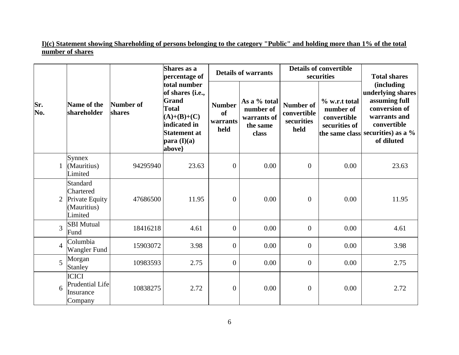**I)(c) Statement showing Shareholding of persons belonging to the category "Public" and holding more than 1% of the total number of shares**

|                |  |                                                                   | Shares as a<br>percentage of |                                                                                                                                           |                                         | <b>Details of warrants</b>                                    |                                                       | <b>Details of convertible</b><br>securities                | <b>Total shares</b>                                                                                                                                         |
|----------------|--|-------------------------------------------------------------------|------------------------------|-------------------------------------------------------------------------------------------------------------------------------------------|-----------------------------------------|---------------------------------------------------------------|-------------------------------------------------------|------------------------------------------------------------|-------------------------------------------------------------------------------------------------------------------------------------------------------------|
| Sr.<br>No.     |  | Name of the<br>shareholder                                        | Number of<br>shares          | total number<br>of shares {i.e.,<br><b>Grand</b><br><b>Total</b><br>$(A)+(B)+(C)$<br>indicated in<br>Statement at<br>para(I)(a)<br>above} | <b>Number</b><br>of<br>warrants<br>held | As a % total<br>number of<br>warrants of<br>the same<br>class | <b>Number of</b><br>convertible<br>securities<br>held | % w.r.t total<br>number of<br>convertible<br>securities of | <i>(including)</i><br>underlying shares<br>assuming full<br>conversion of<br>warrants and<br>convertible<br>the same class securities) as a %<br>of diluted |
|                |  | Synnex<br>(Mauritius)<br>Limited                                  | 94295940                     | 23.63                                                                                                                                     | $\boldsymbol{0}$                        | 0.00                                                          | $\mathbf{0}$                                          | 0.00                                                       | 23.63                                                                                                                                                       |
|                |  | Standard<br>Chartered<br>Private Equity<br>(Mauritius)<br>Limited | 47686500                     | 11.95                                                                                                                                     | $\boldsymbol{0}$                        | 0.00                                                          | $\overline{0}$                                        | 0.00                                                       | 11.95                                                                                                                                                       |
| 3              |  | <b>SBI</b> Mutual<br>Fund                                         | 18416218                     | 4.61                                                                                                                                      | $\overline{0}$                          | 0.00                                                          | $\overline{0}$                                        | 0.00                                                       | 4.61                                                                                                                                                        |
| $\overline{4}$ |  | Columbia<br><b>Wangler Fund</b>                                   | 15903072                     | 3.98                                                                                                                                      | $\boldsymbol{0}$                        | 0.00                                                          | $\overline{0}$                                        | 0.00                                                       | 3.98                                                                                                                                                        |
| 5              |  | Morgan<br>Stanley                                                 | 10983593                     | 2.75                                                                                                                                      | $\boldsymbol{0}$                        | 0.00                                                          | $\overline{0}$                                        | 0.00                                                       | 2.75                                                                                                                                                        |
| 6              |  | <b>ICICI</b><br><b>Prudential Life</b><br>Insurance<br>Company    | 10838275                     | 2.72                                                                                                                                      | $\boldsymbol{0}$                        | 0.00                                                          | $\overline{0}$                                        | 0.00                                                       | 2.72                                                                                                                                                        |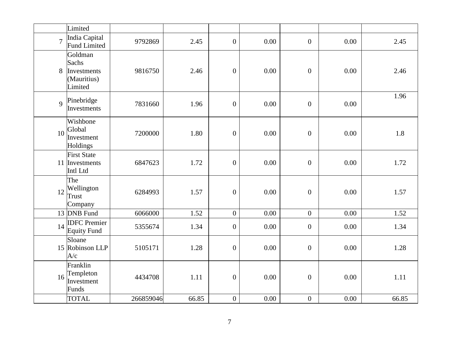|                | Limited                                                   |           |       |                  |      |                  |      |       |
|----------------|-----------------------------------------------------------|-----------|-------|------------------|------|------------------|------|-------|
| $\overline{7}$ | India Capital<br><b>Fund Limited</b>                      | 9792869   | 2.45  | $\boldsymbol{0}$ | 0.00 | $\boldsymbol{0}$ | 0.00 | 2.45  |
| 8              | Goldman<br>Sachs<br>Investments<br>(Mauritius)<br>Limited | 9816750   | 2.46  | $\boldsymbol{0}$ | 0.00 | $\overline{0}$   | 0.00 | 2.46  |
| $\overline{9}$ | Pinebridge<br>Investments                                 | 7831660   | 1.96  | $\boldsymbol{0}$ | 0.00 | $\overline{0}$   | 0.00 | 1.96  |
| 10             | Wishbone<br>Global<br>Investment<br>Holdings              | 7200000   | 1.80  | $\boldsymbol{0}$ | 0.00 | $\boldsymbol{0}$ | 0.00 | 1.8   |
| 11             | <b>First State</b><br>Investments<br>Intl Ltd             | 6847623   | 1.72  | $\boldsymbol{0}$ | 0.00 | $\overline{0}$   | 0.00 | 1.72  |
| 12             | The<br>Wellington<br>Trust<br>Company                     | 6284993   | 1.57  | $\boldsymbol{0}$ | 0.00 | $\boldsymbol{0}$ | 0.00 | 1.57  |
|                | 13 DNB Fund                                               | 6066000   | 1.52  | $\overline{0}$   | 0.00 | $\overline{0}$   | 0.00 | 1.52  |
| 14             | <b>IDFC</b> Premier<br><b>Equity Fund</b>                 | 5355674   | 1.34  | $\boldsymbol{0}$ | 0.00 | $\overline{0}$   | 0.00 | 1.34  |
|                | Sloane<br>15 Robinson LLP<br>A/c                          | 5105171   | 1.28  | $\boldsymbol{0}$ | 0.00 | $\overline{0}$   | 0.00 | 1.28  |
| 16             | Franklin<br>Templeton<br>Investment<br>Funds              | 4434708   | 1.11  | $\boldsymbol{0}$ | 0.00 | $\boldsymbol{0}$ | 0.00 | 1.11  |
|                | <b>TOTAL</b>                                              | 266859046 | 66.85 | $\overline{0}$   | 0.00 | $\boldsymbol{0}$ | 0.00 | 66.85 |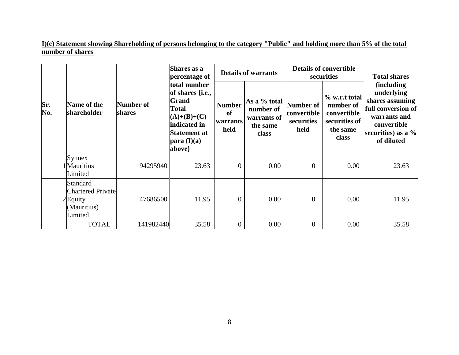**I)(c) Statement showing Shareholding of persons belonging to the category "Public" and holding more than 5% of the total number of shares**

|            | Name of the<br>shareholder                                                          |                     | Shares as a<br>percentage of                                                                                                                        |                                                    | <b>Details of warrants</b>                                    |                                                | <b>Details of convertible</b><br>securities                                     | <b>Total shares</b>                                                                                                                      |  |
|------------|-------------------------------------------------------------------------------------|---------------------|-----------------------------------------------------------------------------------------------------------------------------------------------------|----------------------------------------------------|---------------------------------------------------------------|------------------------------------------------|---------------------------------------------------------------------------------|------------------------------------------------------------------------------------------------------------------------------------------|--|
| Sr.<br>No. |                                                                                     | Number of<br>shares | total number<br>of shares { <i>i.e.</i> ,<br><b>Grand</b><br><b>Total</b><br>$(A)+(B)+(C)$<br>indicated in<br>Statement at<br>para (I)(a)<br>above} | <b>Number</b><br><sub>of</sub><br>warrants<br>held | As a % total<br>number of<br>warrants of<br>the same<br>class | Number of<br>convertible<br>securities<br>held | % w.r.t total<br>number of<br>convertible<br>securities of<br>the same<br>class | (including)<br>underlying<br>shares assuming<br>full conversion of<br>warrants and<br>convertible<br>securities) as a $\%$<br>of diluted |  |
|            | Synnex<br>1Mauritius<br>Limited                                                     | 94295940            | 23.63                                                                                                                                               | $\overline{0}$                                     | 0.00                                                          | $\overline{0}$                                 | 0.00                                                                            | 23.63                                                                                                                                    |  |
|            | <b>Standard</b><br><b>Chartered Private</b><br>$2$ Equity<br>(Mauritius)<br>Limited | 47686500            | 11.95                                                                                                                                               | $\overline{0}$                                     | 0.00                                                          | $\theta$                                       | 0.00                                                                            | 11.95                                                                                                                                    |  |
|            | <b>TOTAL</b>                                                                        | 141982440           | 35.58                                                                                                                                               | $\theta$                                           | 0.00                                                          | $\overline{0}$                                 | 0.00                                                                            | 35.58                                                                                                                                    |  |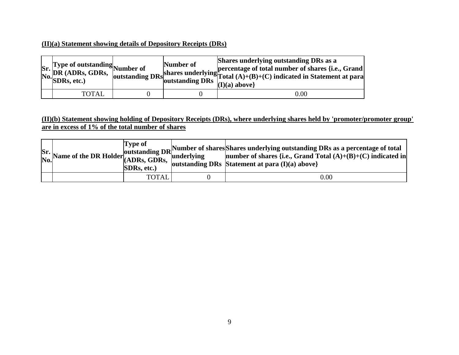### **(II)(a) Statement showing details of Depository Receipts (DRs)**

| Sr. Type of outstanding<br>No. DR (ADRs, GDRs, outstanding<br>No. SDRs, etc.) | Number of | Shares underlying outstanding DRs as a<br>shares underlying percentage of total number of shares {i.e., Grand shares underlying Total $(A)+(B)+(C)$ indicated in Statement at para<br>$(I)(a)$ above |
|-------------------------------------------------------------------------------|-----------|------------------------------------------------------------------------------------------------------------------------------------------------------------------------------------------------------|
| TOTAL                                                                         |           | $0.00\,$                                                                                                                                                                                             |

### **(II)(b) Statement showing holding of Depository Receipts (DRs), where underlying shares held by 'promoter/promoter group' are in excess of 1% of the total number of shares**

|  | <b>Type of</b><br>SDRs, etc.) | $S$ r.<br>Name of the DR Holder (ADRs, GDRs, CDRs, Sunderlying mumber of shares and all (A)+(B)+(C) indicated in No.<br>  outstanding DRs   Statement at para $(I)(a)$ above} |
|--|-------------------------------|-------------------------------------------------------------------------------------------------------------------------------------------------------------------------------|
|  | <b>TOTAL</b>                  | 0.00                                                                                                                                                                          |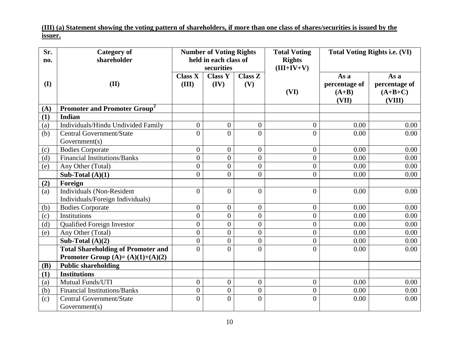**(III) (a) Statement showing the voting pattern of shareholders, if more than one class of shares/securities is issued by the issuer.**

| Sr.<br>no. | <b>Category of</b><br>shareholder         |                         | <b>Number of Voting Rights</b><br>held in each class of<br>securities |                       | <b>Total Voting</b><br><b>Rights</b><br>$(III+IV+V)$ |                                           | <b>Total Voting Rights i.e. (VI)</b>         |
|------------|-------------------------------------------|-------------------------|-----------------------------------------------------------------------|-----------------------|------------------------------------------------------|-------------------------------------------|----------------------------------------------|
| (I)        | (II)                                      | <b>Class X</b><br>(III) | <b>Class Y</b><br>(IV)                                                | <b>Class Z</b><br>(V) | (VI)                                                 | As a<br>percentage of<br>$(A+B)$<br>(VII) | As a<br>percentage of<br>$(A+B+C)$<br>(VIII) |
| (A)        | Promoter and Promoter Group <sup>2</sup>  |                         |                                                                       |                       |                                                      |                                           |                                              |
| (1)        | <b>Indian</b>                             |                         |                                                                       |                       |                                                      |                                           |                                              |
| (a)        | Individuals/Hindu Undivided Family        | $\mathbf{0}$            | $\boldsymbol{0}$                                                      | $\mathbf{0}$          | $\overline{0}$                                       | 0.00                                      | 0.00                                         |
| (b)        | <b>Central Government/State</b>           | $\theta$                | $\theta$                                                              | $\theta$              | $\overline{0}$                                       | 0.00                                      | 0.00                                         |
|            | Government(s)                             |                         |                                                                       |                       |                                                      |                                           |                                              |
| (c)        | <b>Bodies Corporate</b>                   | $\theta$                | $\overline{0}$                                                        | $\overline{0}$        | $\overline{0}$                                       | 0.00                                      | 0.00                                         |
| (d)        | <b>Financial Institutions/Banks</b>       | $\overline{0}$          | $\overline{0}$                                                        | $\overline{0}$        | $\overline{0}$                                       | 0.00                                      | 0.00                                         |
| (e)        | Any Other (Total)                         | $\overline{0}$          | $\overline{0}$                                                        | $\overline{0}$        | $\overline{0}$                                       | 0.00                                      | 0.00                                         |
|            | Sub-Total $(A)(1)$                        | $\overline{0}$          | $\overline{0}$                                                        | $\overline{0}$        | $\overline{0}$                                       | 0.00                                      | 0.00                                         |
| (2)        | Foreign                                   |                         |                                                                       |                       |                                                      |                                           |                                              |
| (a)        | <b>Individuals (Non-Resident</b>          | $\Omega$                | $\theta$                                                              | $\overline{0}$        | $\overline{0}$                                       | 0.00                                      | 0.00                                         |
|            | Individuals/Foreign Individuals)          |                         |                                                                       |                       |                                                      |                                           |                                              |
| (b)        | <b>Bodies Corporate</b>                   | $\overline{0}$          | $\overline{0}$                                                        | $\overline{0}$        | $\overline{0}$                                       | 0.00                                      | 0.00                                         |
| (c)        | Institutions                              | $\boldsymbol{0}$        | $\boldsymbol{0}$                                                      | $\boldsymbol{0}$      | $\overline{0}$                                       | 0.00                                      | 0.00                                         |
| (d)        | <b>Qualified Foreign Investor</b>         | $\overline{0}$          | $\overline{0}$                                                        | $\overline{0}$        | $\overline{0}$                                       | 0.00                                      | 0.00                                         |
| (e)        | Any Other (Total)                         | $\overline{0}$          | $\overline{0}$                                                        | $\overline{0}$        | $\overline{0}$                                       | 0.00                                      | 0.00                                         |
|            | Sub-Total $(A)(2)$                        | $\overline{0}$          | $\overline{0}$                                                        | $\overline{0}$        | $\overline{0}$                                       | 0.00                                      | 0.00                                         |
|            | <b>Total Shareholding of Promoter and</b> | $\theta$                | $\theta$                                                              | $\theta$              | $\overline{0}$                                       | 0.00                                      | 0.00                                         |
|            | Promoter Group $(A)=(A)(1)+(A)(2)$        |                         |                                                                       |                       |                                                      |                                           |                                              |
| (B)        | <b>Public shareholding</b>                |                         |                                                                       |                       |                                                      |                                           |                                              |
| (1)        | <b>Institutions</b>                       |                         |                                                                       |                       |                                                      |                                           |                                              |
| (a)        | Mutual Funds/UTI                          | $\overline{0}$          | $\overline{0}$                                                        | $\overline{0}$        | $\boldsymbol{0}$                                     | 0.00                                      | 0.00                                         |
| (b)        | <b>Financial Institutions/Banks</b>       | $\overline{0}$          | $\overline{0}$                                                        | $\overline{0}$        | $\overline{0}$                                       | 0.00                                      | 0.00                                         |
| (c)        | Central Government/State                  | $\theta$                | $\theta$                                                              | $\theta$              | $\overline{0}$                                       | 0.00                                      | 0.00                                         |
|            | Government(s)                             |                         |                                                                       |                       |                                                      |                                           |                                              |